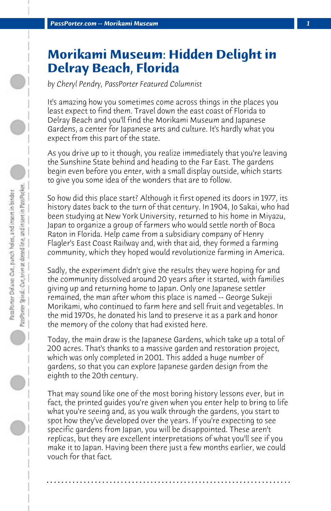## **Morikami Museum: Hidden Delight in Delray Beach, Florida**

*by Cheryl Pendry, PassPorter Featured Columnist*

It's amazing how you sometimes come across things in the places you least expect to find them. Travel down the east coast of Florida to Delray Beach and you'll find the Morikami Museum and Japanese Gardens, a center for Japanese arts and culture. It's hardly what you expect from this part of the state.

As you drive up to it though, you realize immediately that you're leaving the Sunshine State behind and heading to the Far East. The gardens begin even before you enter, with a small display outside, which starts to give you some idea of the wonders that are to follow.

So how did this place start? Although it first opened its doors in 1977, its history dates back to the turn of that century. In 1904, Jo Sakai, who had been studying at New York University, returned to his home in Miyazu, Japan to organize a group of farmers who would settle north of Boca Raton in Florida. Help came from a subsidiary company of Henry Flagler's East Coast Railway and, with that aid, they formed a farming community, which they hoped would revolutionize farming in America.

Sadly, the experiment didn't give the results they were hoping for and the community dissolved around 20 years after it started, with families giving up and returning home to Japan. Only one Japanese settler remained, the man after whom this place is named -- George Sukeji Morikami, who continued to farm here and sell fruit and vegetables. In the mid 1970s, he donated his land to preserve it as a park and honor the memory of the colony that had existed here.

Today, the main draw is the Japanese Gardens, which take up a total of 200 acres. That's thanks to a massive garden and restoration project, which was only completed in 2001. This added a huge number of gardens, so that you can explore Japanese garden design from the eighth to the 20th century.

That may sound like one of the most boring history lessons ever, but in fact, the printed guides you're given when you enter help to bring to life what you're seeing and, as you walk through the gardens, you start to spot how they've developed over the years. If you're expecting to see specific gardens from Japan, you will be disappointed. These aren't replicas, but they are excellent interpretations of what you'll see if you make it to Japan. Having been there just a few months earlier, we could vouch for that fact.

**. . . . . . . . . . . . . . . . . . . . . . . . . . . . . . . . . . . . . . . . . . . . . . . . . . . . . . . . . . . . . . . . . .**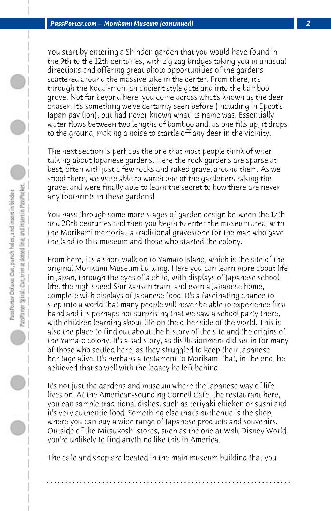You start by entering a Shinden garden that you would have found in the 9th to the 12th centuries, with zig zag bridges taking you in unusual directions and offering great photo opportunities of the gardens scattered around the massive lake in the center. From there, it's through the Kodai-mon, an ancient style gate and into the bamboo grove. Not far beyond here, you come across what's known as the deer chaser. It's something we've certainly seen before (including in Epcot's Japan pavilion), but had never known what its name was. Essentially water flows between two lengths of bamboo and, as one fills up, it drops to the ground, making a noise to startle off any deer in the vicinity.

The next section is perhaps the one that most people think of when talking about Japanese gardens. Here the rock gardens are sparse at best, often with just a few rocks and raked gravel around them. As we stood there, we were able to watch one of the gardeners raking the gravel and were finally able to learn the secret to how there are never any footprints in these gardens!

You pass through some more stages of garden design between the 17th and 20th centuries and then you begin to enter the museum area, with the Morikami memorial, a traditional gravestone for the man who gave the land to this museum and those who started the colony.

From here, it's a short walk on to Yamato Island, which is the site of the original Morikami Museum building. Here you can learn more about life in Japan; through the eyes of a child, with displays of Japanese school life, the high speed Shinkansen train, and even a Japanese home, complete with displays of Japanese food. It's a fascinating chance to step into a world that many people will never be able to experience first hand and it's perhaps not surprising that we saw a school party there, with children learning about life on the other side of the world. This is also the place to find out about the history of the site and the origins of the Yamato colony. It's a sad story, as disillusionment did set in for many of those who settled here, as they struggled to keep their Japanese heritage alive. It's perhaps a testament to Morikami that, in the end, he achieved that so well with the legacy he left behind.

It's not just the gardens and museum where the Japanese way of life lives on. At the American-sounding Cornell Cafe, the restaurant here, you can sample traditional dishes, such as teriyaki chicken or sushi and it's very authentic food. Something else that's authentic is the shop, where you can buy a wide range of Japanese products and souvenirs. Outside of the Mitsukoshi stores, such as the one at Walt Disney World, you're unlikely to find anything like this in America.

The cafe and shop are located in the main museum building that you

**. . . . . . . . . . . . . . . . . . . . . . . . . . . . . . . . . . . . . . . . . . . . . . . . . . . . . . . . . . . . . . . . . .**